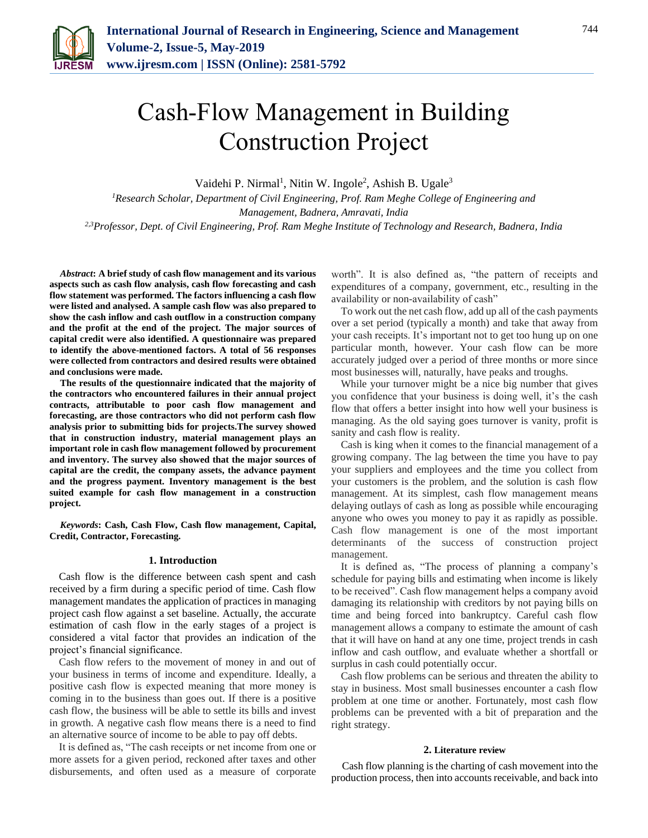

# Cash-Flow Management in Building Construction Project

Vaidehi P. Nirmal<sup>1</sup>, Nitin W. Ingole<sup>2</sup>, Ashish B. Ugale<sup>3</sup>

*<sup>1</sup>Research Scholar, Department of Civil Engineering, Prof. Ram Meghe College of Engineering and Management, Badnera, Amravati, India 2,3Professor, Dept. of Civil Engineering, Prof. Ram Meghe Institute of Technology and Research, Badnera, India*

*Abstract***: A brief study of cash flow management and its various aspects such as cash flow analysis, cash flow forecasting and cash flow statement was performed. The factors influencing a cash flow were listed and analysed. A sample cash flow was also prepared to show the cash inflow and cash outflow in a construction company and the profit at the end of the project. The major sources of capital credit were also identified. A questionnaire was prepared to identify the above-mentioned factors. A total of 56 responses were collected from contractors and desired results were obtained and conclusions were made.**

**The results of the questionnaire indicated that the majority of the contractors who encountered failures in their annual project contracts, attributable to poor cash flow management and forecasting, are those contractors who did not perform cash flow analysis prior to submitting bids for projects.The survey showed that in construction industry, material management plays an important role in cash flow management followed by procurement and inventory. The survey also showed that the major sources of capital are the credit, the company assets, the advance payment and the progress payment. Inventory management is the best suited example for cash flow management in a construction project.**

*Keywords***: Cash, Cash Flow, Cash flow management, Capital, Credit, Contractor, Forecasting.**

#### **1. Introduction**

Cash flow is the difference between cash spent and cash received by a firm during a specific period of time. Cash flow management mandates the application of practices in managing project cash flow against a set baseline. Actually, the accurate estimation of cash flow in the early stages of a project is considered a vital factor that provides an indication of the project's financial significance.

Cash flow refers to the movement of money in and out of your business in terms of income and expenditure. Ideally, a positive cash flow is expected meaning that more money is coming in to the business than goes out. If there is a positive cash flow, the business will be able to settle its bills and invest in growth. A negative cash flow means there is a need to find an alternative source of income to be able to pay off debts.

It is defined as, "The cash receipts or net income from one or more assets for a given period, reckoned after taxes and other disbursements, and often used as a measure of corporate worth". It is also defined as, "the pattern of receipts and expenditures of a company, government, etc., resulting in the availability or non-availability of cash"

To work out the net cash flow, add up all of the cash payments over a set period (typically a month) and take that away from your cash receipts. It's important not to get too hung up on one particular month, however. Your cash flow can be more accurately judged over a period of three months or more since most businesses will, naturally, have peaks and troughs.

While your turnover might be a nice big number that gives you confidence that your business is doing well, it's the cash flow that offers a better insight into how well your business is managing. As the old saying goes turnover is vanity, profit is sanity and cash flow is reality.

Cash is king when it comes to the financial management of a growing company. The lag between the time you have to pay your suppliers and employees and the time you collect from your customers is the problem, and the solution is cash flow management. At its simplest, cash flow management means delaying outlays of cash as long as possible while encouraging anyone who owes you money to pay it as rapidly as possible. Cash flow management is one of the most important determinants of the success of construction project management.

It is defined as, "The process of planning a company's schedule for paying bills and estimating when income is likely to be received". Cash flow management helps a company avoid damaging its relationship with creditors by not paying bills on time and being forced into bankruptcy. Careful cash flow management allows a company to estimate the amount of cash that it will have on hand at any one time, project trends in cash inflow and cash outflow, and evaluate whether a shortfall or surplus in cash could potentially occur.

Cash flow problems can be serious and threaten the ability to stay in business. Most small businesses encounter a cash flow problem at one time or another. Fortunately, most cash flow problems can be prevented with a bit of preparation and the right strategy.

#### **2. Literature review**

Cash flow planning is the charting of cash movement into the production process, then into accounts receivable, and back into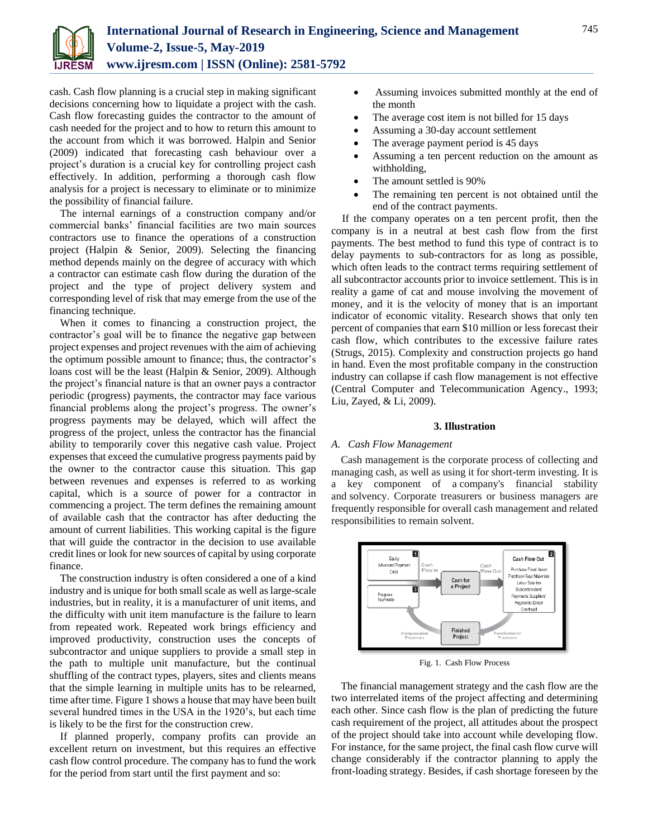

cash. Cash flow planning is a crucial step in making significant decisions concerning how to liquidate a project with the cash. Cash flow forecasting guides the contractor to the amount of cash needed for the project and to how to return this amount to the account from which it was borrowed. Halpin and Senior (2009) indicated that forecasting cash behaviour over a project's duration is a crucial key for controlling project cash effectively. In addition, performing a thorough cash flow analysis for a project is necessary to eliminate or to minimize the possibility of financial failure.

The internal earnings of a construction company and/or commercial banks' financial facilities are two main sources contractors use to finance the operations of a construction project (Halpin & Senior, 2009). Selecting the financing method depends mainly on the degree of accuracy with which a contractor can estimate cash flow during the duration of the project and the type of project delivery system and corresponding level of risk that may emerge from the use of the financing technique.

When it comes to financing a construction project, the contractor's goal will be to finance the negative gap between project expenses and project revenues with the aim of achieving the optimum possible amount to finance; thus, the contractor's loans cost will be the least (Halpin & Senior, 2009). Although the project's financial nature is that an owner pays a contractor periodic (progress) payments, the contractor may face various financial problems along the project's progress. The owner's progress payments may be delayed, which will affect the progress of the project, unless the contractor has the financial ability to temporarily cover this negative cash value. Project expenses that exceed the cumulative progress payments paid by the owner to the contractor cause this situation. This gap between revenues and expenses is referred to as working capital, which is a source of power for a contractor in commencing a project. The term defines the remaining amount of available cash that the contractor has after deducting the amount of current liabilities. This working capital is the figure that will guide the contractor in the decision to use available credit lines or look for new sources of capital by using corporate finance.

The construction industry is often considered a one of a kind industry and is unique for both small scale as well as large-scale industries, but in reality, it is a manufacturer of unit items, and the difficulty with unit item manufacture is the failure to learn from repeated work. Repeated work brings efficiency and improved productivity, construction uses the concepts of subcontractor and unique suppliers to provide a small step in the path to multiple unit manufacture, but the continual shuffling of the contract types, players, sites and clients means that the simple learning in multiple units has to be relearned, time after time. Figure 1 shows a house that may have been built several hundred times in the USA in the 1920's, but each time is likely to be the first for the construction crew.

If planned properly, company profits can provide an excellent return on investment, but this requires an effective cash flow control procedure. The company has to fund the work for the period from start until the first payment and so:

- Assuming invoices submitted monthly at the end of the month
- The average cost item is not billed for 15 days
- Assuming a 30-day account settlement
- The average payment period is 45 days
- Assuming a ten percent reduction on the amount as withholding,
- The amount settled is 90%
- The remaining ten percent is not obtained until the end of the contract payments.

If the company operates on a ten percent profit, then the company is in a neutral at best cash flow from the first payments. The best method to fund this type of contract is to delay payments to sub-contractors for as long as possible, which often leads to the contract terms requiring settlement of all subcontractor accounts prior to invoice settlement. This is in reality a game of cat and mouse involving the movement of money, and it is the velocity of money that is an important indicator of economic vitality. Research shows that only ten percent of companies that earn \$10 million or less forecast their cash flow, which contributes to the excessive failure rates (Strugs, 2015). Complexity and construction projects go hand in hand. Even the most profitable company in the construction industry can collapse if cash flow management is not effective (Central Computer and Telecommunication Agency., 1993; Liu, Zayed, & Li, 2009).

#### **3. Illustration**

#### *A. Cash Flow Management*

Cash management is the corporate process of collecting and managing cash, as well as using it for short-term investing. It is a key component of a company's financial stability and [solvency.](https://www.investopedia.com/terms/s/solvency.asp) Corporate treasurers or business managers are frequently responsible for overall cash management and related responsibilities to remain solvent.



Fig. 1. Cash Flow Process

The financial management strategy and the cash flow are the two interrelated items of the project affecting and determining each other. Since cash flow is the plan of predicting the future cash requirement of the project, all attitudes about the prospect of the project should take into account while developing flow. For instance, for the same project, the final cash flow curve will change considerably if the contractor planning to apply the front-loading strategy. Besides, if cash shortage foreseen by the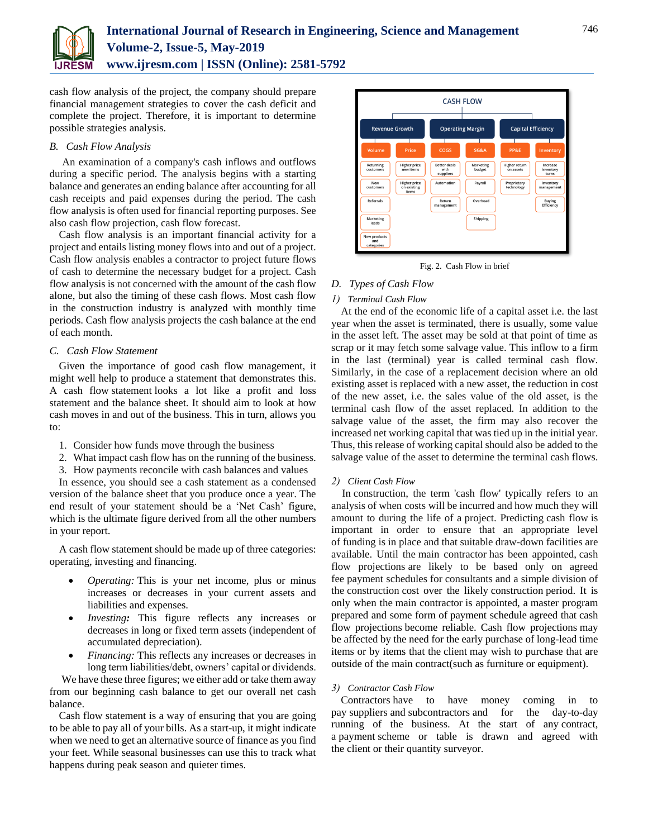![](_page_2_Picture_0.jpeg)

# **International Journal of Research in Engineering, Science and Management Volume-2, Issue-5, May-2019 www.ijresm.com | ISSN (Online): 2581-5792**

cash flow analysis of the project, the company should prepare financial management strategies to cover the cash deficit and complete the project. Therefore, it is important to determine possible strategies analysis.

# *B. Cash Flow Analysis*

An examination of a company's cash inflows and outflows during a specific period. The analysis begins with a starting balance and generates an ending balance after accounting for all cash receipts and paid expenses during the period. The cash flow analysis is often used for financial reporting purposes. See also cash flow projection, cash flow forecast.

Cash flow analysis is an important financial activity for a project and entails listing money flows into and out of a project. Cash flow analysis enables a contractor to project future flows of cash to determine the necessary budget for a project. Cash flow analysis is not concerned with the amount of the cash flow alone, but also the timing of these cash flows. Most cash flow in the construction industry is analyzed with monthly time periods. Cash flow analysis projects the cash balance at the end of each month.

#### *C. Cash Flow Statement*

Given the importance of good cash flow management, it might well help to produce a statement that demonstrates this. A cash flow [statement](https://www.kashflow.com/cash-flow/statement/) looks a lot like a profit and loss statement and the balance sheet. It should aim to look at how cash moves in and out of the business. This in turn, allows you to:

- 1. Consider how funds move through the business
- 2. What impact cash flow has on the running of the business.
- 3. How payments reconcile with cash balances and values

In essence, you should see a cash statement as a condensed version of the balance sheet that you produce once a year. The end result of your statement should be a 'Net Cash' figure, which is the ultimate figure derived from all the other numbers in your report.

 A cash flow statement should be made up of three categories: operating, investing and financing.

- *Operating:* This is your net income, plus or minus increases or decreases in your current assets and liabilities and expenses.
- *Investing:* This figure reflects any increases or decreases in long or fixed term assets (independent of accumulated depreciation).
- *Financing:* This reflects any increases or decreases in long term liabilities/debt, owners' capital or dividends.

We have these three figures; we either add or take them away from our beginning cash balance to get our overall net cash balance.

Cash flow statement is a way of ensuring that you are going to be able to pay all of your bills. As a start-up, it might indicate when we need to get an alternative source of finance as you find your feet. While seasonal businesses can use this to track what happens during peak season and quieter times.

![](_page_2_Picture_18.jpeg)

Fig. 2. Cash Flow in brief

#### *D. Types of Cash Flow*

#### *1) Terminal Cash Flow*

At the end of the economic life of a capital asset i.e. the last year when the asset is terminated, there is usually, some value in the asset left. The asset may be sold at that point of time as scrap or it may fetch some salvage value. This inflow to a firm in the last (terminal) year is called terminal cash flow. Similarly, in the case of a replacement decision where an old existing asset is replaced with a new asset, the reduction in cost of the new asset, i.e. the sales value of the old asset, is the terminal cash flow of the asset replaced. In addition to the salvage value of the asset, the firm may also recover the increased net working capital that was tied up in the initial year. Thus, this release of working capital should also be added to the salvage value of the asset to determine the terminal cash flows.

#### *2) [Client](https://www.designingbuildings.co.uk/wiki/Client) [Cash](https://www.designingbuildings.co.uk/wiki/Cash_flow) Flow*

In [construction,](https://www.designingbuildings.co.uk/wiki/Construction) the term ['cash flow'](https://www.designingbuildings.co.uk/wiki/Cash_flow) typically refers to an analysis of when [costs](https://www.designingbuildings.co.uk/wiki/Cost) will be incurred and how much they will amount to during the life of a [project.](https://www.designingbuildings.co.uk/wiki/Project) Predicting [cash flow](https://www.designingbuildings.co.uk/wiki/Cash_flow) is important in order to ensure that an appropriate level of [funding](https://www.designingbuildings.co.uk/wiki/Funding) is in [place](https://www.designingbuildings.co.uk/wiki/Place) and that suitable draw-down facilities are available. Until the [main contractor](https://www.designingbuildings.co.uk/wiki/Main_contractor) has been appointed, [cash](https://www.designingbuildings.co.uk/wiki/Cash_flow_projection)  [flow projections](https://www.designingbuildings.co.uk/wiki/Cash_flow_projection) are likely to be based only on agreed fee [payment schedules](https://www.designingbuildings.co.uk/wiki/Payment_schedule) for [consultants](https://www.designingbuildings.co.uk/wiki/Consultants) and a simple division of the [construction](https://www.designingbuildings.co.uk/wiki/Construction) [cost](https://www.designingbuildings.co.uk/wiki/Cost) over the likely [construction](https://www.designingbuildings.co.uk/wiki/Construction) period. It is only when the [main contractor](https://www.designingbuildings.co.uk/wiki/Main_contractor) is appointed, a [master program](https://www.designingbuildings.co.uk/wiki/Master_programme) prepared and some form of [payment schedule](https://www.designingbuildings.co.uk/wiki/Payment_schedule) agreed that [cash](https://www.designingbuildings.co.uk/wiki/Cash_flow_projection)  [flow projections](https://www.designingbuildings.co.uk/wiki/Cash_flow_projection) become reliable. [Cash flow projections](https://www.designingbuildings.co.uk/wiki/Cash_flow_projection) may be affected by the need for the early purchase of long[-lead time](https://www.designingbuildings.co.uk/wiki/Lead_time) items or by items that the [client](https://www.designingbuildings.co.uk/wiki/Client) may wish to purchase that are outside of the [main contract\(](https://www.designingbuildings.co.uk/wiki/Main_contract)such as [furniture](https://www.designingbuildings.co.uk/wiki/Furniture) or equipment).

# *3) [Contractor](https://www.designingbuildings.co.uk/wiki/Contractors) [Cash Flow](https://www.designingbuildings.co.uk/wiki/Cash_flow)*

[Contractors](https://www.designingbuildings.co.uk/wiki/Contractors) have to have money coming in to pay [suppliers](https://www.designingbuildings.co.uk/wiki/Supplier) and [subcontractors](https://www.designingbuildings.co.uk/wiki/Subcontractor) and for the day-to-day running of the business. At the start of any [contract,](https://www.designingbuildings.co.uk/wiki/Contract) a [payment](https://www.designingbuildings.co.uk/wiki/Payment) scheme or table is drawn and agreed with the [client](https://www.designingbuildings.co.uk/wiki/Client) or their [quantity surveyor.](https://www.designingbuildings.co.uk/wiki/Quantity_surveyor)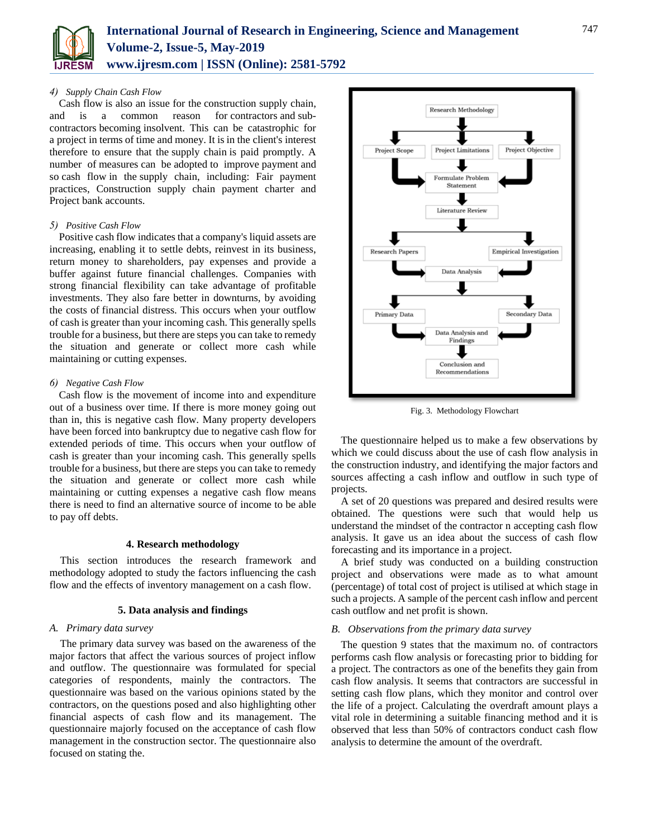![](_page_3_Picture_0.jpeg)

# *4) [Supply](https://www.designingbuildings.co.uk/wiki/Supply_chain) Chain Cash [Flow](https://www.designingbuildings.co.uk/wiki/Cash_flow)*

[Cash flow](https://www.designingbuildings.co.uk/wiki/Cash_flow) is also an issue for the [construction supply chain,](https://www.designingbuildings.co.uk/wiki/Construction_supply_chain)  and is a common reason for [contractors](https://www.designingbuildings.co.uk/wiki/Contractors) and [sub](https://www.designingbuildings.co.uk/wiki/Sub-contractors)[contractors](https://www.designingbuildings.co.uk/wiki/Sub-contractors) becoming [insolvent.](https://www.designingbuildings.co.uk/wiki/Insolvent) This can be catastrophic for a [project](https://www.designingbuildings.co.uk/wiki/Project) in terms of time and money. It is in the [client's](https://www.designingbuildings.co.uk/wiki/Client%27s) interest therefore to ensure that the [supply chain](https://www.designingbuildings.co.uk/wiki/Supply_chain) is paid promptly. A number of [measures](https://www.designingbuildings.co.uk/wiki/Measure) can be [adopted](https://www.designingbuildings.co.uk/wiki/Adopted) to improve [payment](https://www.designingbuildings.co.uk/wiki/Payment) and so [cash flow](https://www.designingbuildings.co.uk/wiki/Cash_flow) in the [supply chain,](https://www.designingbuildings.co.uk/wiki/Supply_chain) including: [Fair payment](https://www.designingbuildings.co.uk/wiki/Fair_payment_practices)  [practices,](https://www.designingbuildings.co.uk/wiki/Fair_payment_practices) [Construction supply chain payment charter](https://www.designingbuildings.co.uk/wiki/Construction_supply_chain_payment_charter) and [Project bank accounts.](https://www.designingbuildings.co.uk/wiki/Project_bank_accounts)

# *5) Positive Cash Flow*

Positive cash flow indicates that a company's liquid assets are increasing, enabling it to settle debts, reinvest in its business, return money to shareholders, pay expenses and provide a buffer against future financial challenges. Companies with strong financial flexibility can take advantage of profitable investments. They also fare better in downturns, by avoiding the costs of [financial distress.](https://www.investopedia.com/terms/f/financial_distress.asp) This occurs when your outflow of cash is greater than your incoming cash. This generally spells trouble for a business, but there are steps you can take to remedy the situation and generate or collect more cash while maintaining or cutting expenses.

# *6) Negative Cash Flow*

Cash flow is the movement of income into and expenditure out of a business over time. If there is more money going out than in, this is negative cash flow. Many property developers have been forced into [bankruptcy](https://www.thebalancesmb.com/how-do-personal-bankruptcy-and-business-bankruptcy-differ-2947903) due to negative cash flow for extended periods of time. This occurs when your outflow of cash is greater than your incoming cash. This generally spells trouble for a business, but there are steps you can take to remedy the situation and generate or collect more cash while maintaining or cutting expenses a negative cash flow means there is need to find an alternative source of income to be able to pay off debts.

#### **4. Research methodology**

This section introduces the research framework and methodology adopted to study the factors influencing the cash flow and the effects of inventory management on a cash flow.

# **5. Data analysis and findings**

# *A. Primary data survey*

The primary data survey was based on the awareness of the major factors that affect the various sources of project inflow and outflow. The questionnaire was formulated for special categories of respondents, mainly the contractors. The questionnaire was based on the various opinions stated by the contractors, on the questions posed and also highlighting other financial aspects of cash flow and its management. The questionnaire majorly focused on the acceptance of cash flow management in the construction sector. The questionnaire also focused on stating the.

![](_page_3_Figure_13.jpeg)

Fig. 3. Methodology Flowchart

The questionnaire helped us to make a few observations by which we could discuss about the use of cash flow analysis in the construction industry, and identifying the major factors and sources affecting a cash inflow and outflow in such type of projects.

A set of 20 questions was prepared and desired results were obtained. The questions were such that would help us understand the mindset of the contractor n accepting cash flow analysis. It gave us an idea about the success of cash flow forecasting and its importance in a project.

A brief study was conducted on a building construction project and observations were made as to what amount (percentage) of total cost of project is utilised at which stage in such a projects. A sample of the percent cash inflow and percent cash outflow and net profit is shown.

# *B. Observations from the primary data survey*

The question 9 states that the maximum no. of contractors performs cash flow analysis or forecasting prior to bidding for a project. The contractors as one of the benefits they gain from cash flow analysis. It seems that contractors are successful in setting cash flow plans, which they monitor and control over the life of a project. Calculating the overdraft amount plays a vital role in determining a suitable financing method and it is observed that less than 50% of contractors conduct cash flow analysis to determine the amount of the overdraft.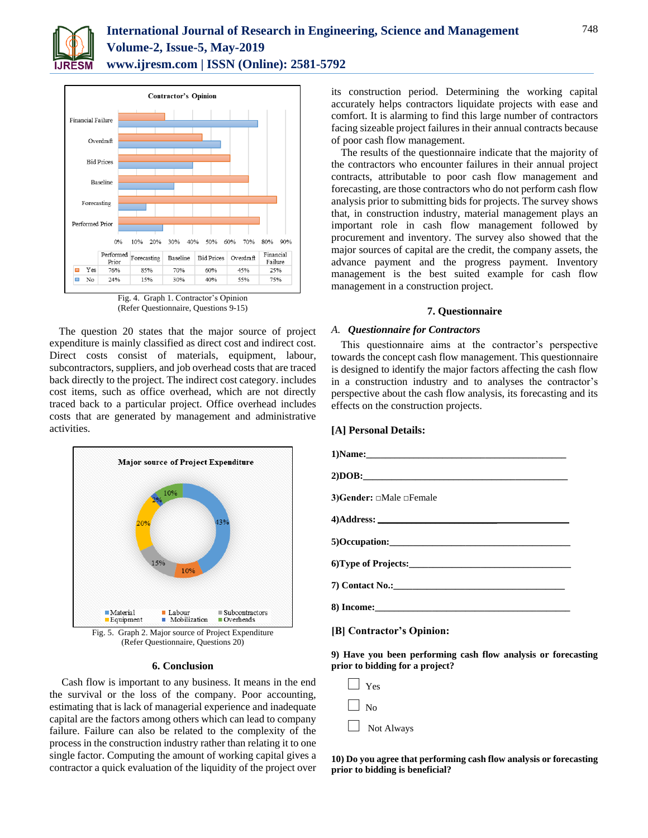![](_page_4_Picture_0.jpeg)

![](_page_4_Figure_2.jpeg)

Fig. 4. Graph 1. Contractor's Opinion (Refer Questionnaire, Questions 9-15)

The question 20 states that the major source of project expenditure is mainly classified as direct cost and indirect cost. Direct costs consist of materials, equipment, labour, subcontractors, suppliers, and job overhead costs that are traced back directly to the project. The indirect cost category. includes cost items, such as office overhead, which are not directly traced back to a particular project. Office overhead includes costs that are generated by management and administrative activities.

![](_page_4_Figure_5.jpeg)

(Refer Questionnaire, Questions 20)

# **6. Conclusion**

Cash flow is important to any business. It means in the end the survival or the loss of the company. Poor accounting, estimating that is lack of managerial experience and inadequate capital are the factors among others which can lead to company failure. Failure can also be related to the complexity of the process in the construction industry rather than relating it to one single factor. Computing the amount of working capital gives a contractor a quick evaluation of the liquidity of the project over

its construction period. Determining the working capital accurately helps contractors liquidate projects with ease and comfort. It is alarming to find this large number of contractors facing sizeable project failures in their annual contracts because of poor cash flow management.

The results of the questionnaire indicate that the majority of the contractors who encounter failures in their annual project contracts, attributable to poor cash flow management and forecasting, are those contractors who do not perform cash flow analysis prior to submitting bids for projects. The survey shows that, in construction industry, material management plays an important role in cash flow management followed by procurement and inventory. The survey also showed that the major sources of capital are the credit, the company assets, the advance payment and the progress payment. Inventory management is the best suited example for cash flow management in a construction project.

#### **7. Questionnaire**

# *A. Questionnaire for Contractors*

This questionnaire aims at the contractor's perspective towards the concept cash flow management. This questionnaire is designed to identify the major factors affecting the cash flow in a construction industry and to analyses the contractor's perspective about the cash flow analysis, its forecasting and its effects on the construction projects.

# **[A] Personal Details:**

| 3) Gender: $\Box$ Male $\Box$ Female |
|--------------------------------------|
|                                      |
|                                      |
|                                      |
|                                      |
|                                      |
| [B] Contractor's Opinion:            |

**9) Have you been performing cash flow analysis or forecasting prior to bidding for a project?**

| Yes        |
|------------|
| No         |
| Not Always |

**10) Do you agree that performing cash flow analysis or forecasting prior to bidding is beneficial?**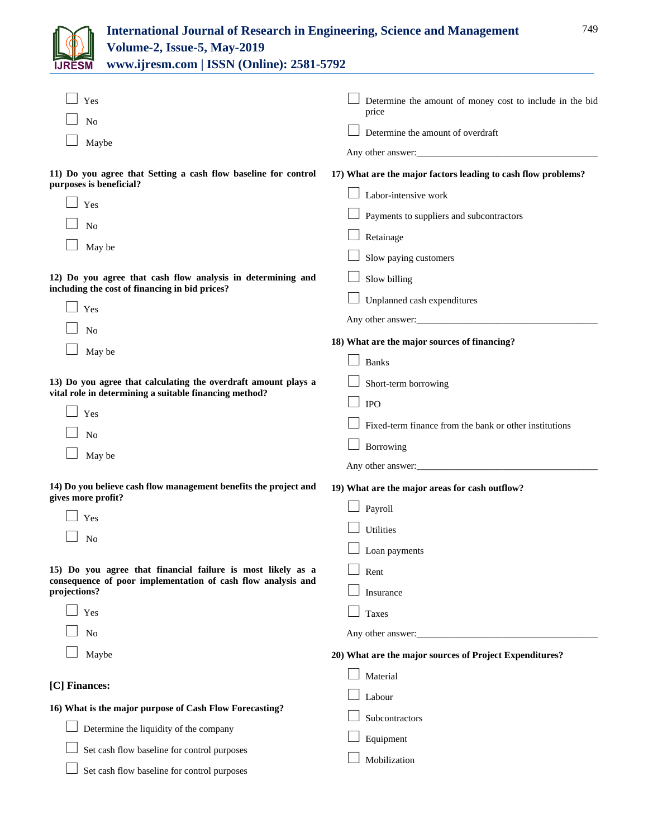| JR | FSN |  |
|----|-----|--|

| Yes                                                                                                                         | Determine the amount of money cost to include in the bid<br>price |
|-----------------------------------------------------------------------------------------------------------------------------|-------------------------------------------------------------------|
| No                                                                                                                          | Determine the amount of overdraft                                 |
| Maybe                                                                                                                       | Any other answer:                                                 |
| 11) Do you agree that Setting a cash flow baseline for control<br>purposes is beneficial?                                   | 17) What are the major factors leading to cash flow problems?     |
| Yes                                                                                                                         | Labor-intensive work                                              |
| No                                                                                                                          | Payments to suppliers and subcontractors                          |
| May be                                                                                                                      | Retainage                                                         |
|                                                                                                                             | Slow paying customers                                             |
| 12) Do you agree that cash flow analysis in determining and                                                                 | Slow billing                                                      |
| including the cost of financing in bid prices?                                                                              | Unplanned cash expenditures                                       |
| Yes                                                                                                                         | Any other answer:                                                 |
| No                                                                                                                          | 18) What are the major sources of financing?                      |
| May be                                                                                                                      | <b>Banks</b>                                                      |
| 13) Do you agree that calculating the overdraft amount plays a                                                              | Short-term borrowing                                              |
| vital role in determining a suitable financing method?                                                                      | <b>IPO</b>                                                        |
| Yes                                                                                                                         |                                                                   |
| No                                                                                                                          | Fixed-term finance from the bank or other institutions            |
| May be                                                                                                                      | Borrowing                                                         |
|                                                                                                                             |                                                                   |
| 14) Do you believe cash flow management benefits the project and<br>gives more profit?                                      | 19) What are the major areas for cash outflow?                    |
| Yes                                                                                                                         | Payroll                                                           |
| No                                                                                                                          | Utilities                                                         |
|                                                                                                                             | Loan payments                                                     |
| 15) Do you agree that financial failure is most likely as a<br>consequence of poor implementation of cash flow analysis and | Rent                                                              |
| projections?                                                                                                                | Insurance                                                         |
| Yes                                                                                                                         | Taxes                                                             |
| No                                                                                                                          | Any other answer:                                                 |
| Maybe                                                                                                                       | 20) What are the major sources of Project Expenditures?           |
|                                                                                                                             | Material                                                          |
| [C] Finances:                                                                                                               | Labour                                                            |
| 16) What is the major purpose of Cash Flow Forecasting?                                                                     | Subcontractors                                                    |
| Determine the liquidity of the company                                                                                      | Equipment                                                         |
| Set cash flow baseline for control purposes                                                                                 |                                                                   |
| Set cash flow baseline for control purposes                                                                                 | Mobilization                                                      |